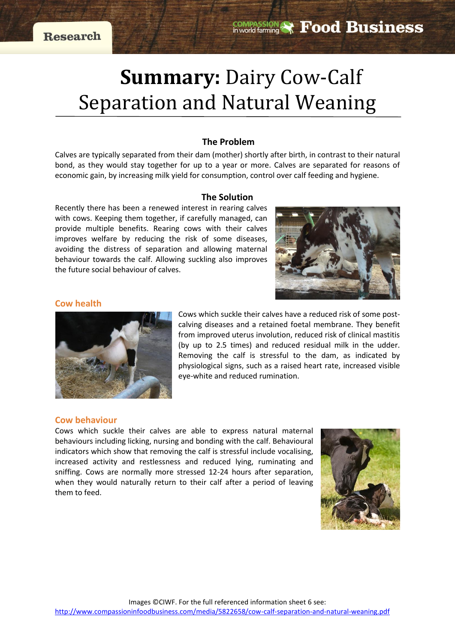# **Summary:** Dairy Cow-Calf Separation and Natural Weaning

# **The Problem**

Calves are typically separated from their dam (mother) shortly after birth, in contrast to their natural bond, as they would stay together for up to a year or more. Calves are separated for reasons of economic gain, by increasing milk yield for consumption, control over calf feeding and hygiene.

#### **The Solution**

Recently there has been a renewed interest in rearing calves with cows. Keeping them together, if carefully managed, can provide multiple benefits. Rearing cows with their calves improves welfare by reducing the risk of some diseases, avoiding the distress of separation and allowing maternal behaviour towards the calf. Allowing suckling also improves the future social behaviour of calves.



## **Cow health**



Cows which suckle their calves have a reduced risk of some postcalving diseases and a retained foetal membrane. They benefit from improved uterus involution, reduced risk of clinical mastitis (by up to 2.5 times) and reduced residual milk in the udder. Removing the calf is stressful to the dam, as indicated by physiological signs, such as a raised heart rate, increased visible eye-white and reduced rumination.

#### **Cow behaviour**

Cows which suckle their calves are able to express natural maternal behaviours including licking, nursing and bonding with the calf. Behavioural indicators which show that removing the calf is stressful include vocalising, increased activity and restlessness and reduced lying, ruminating and sniffing. Cows are normally more stressed 12-24 hours after separation, when they would naturally return to their calf after a period of leaving them to feed.